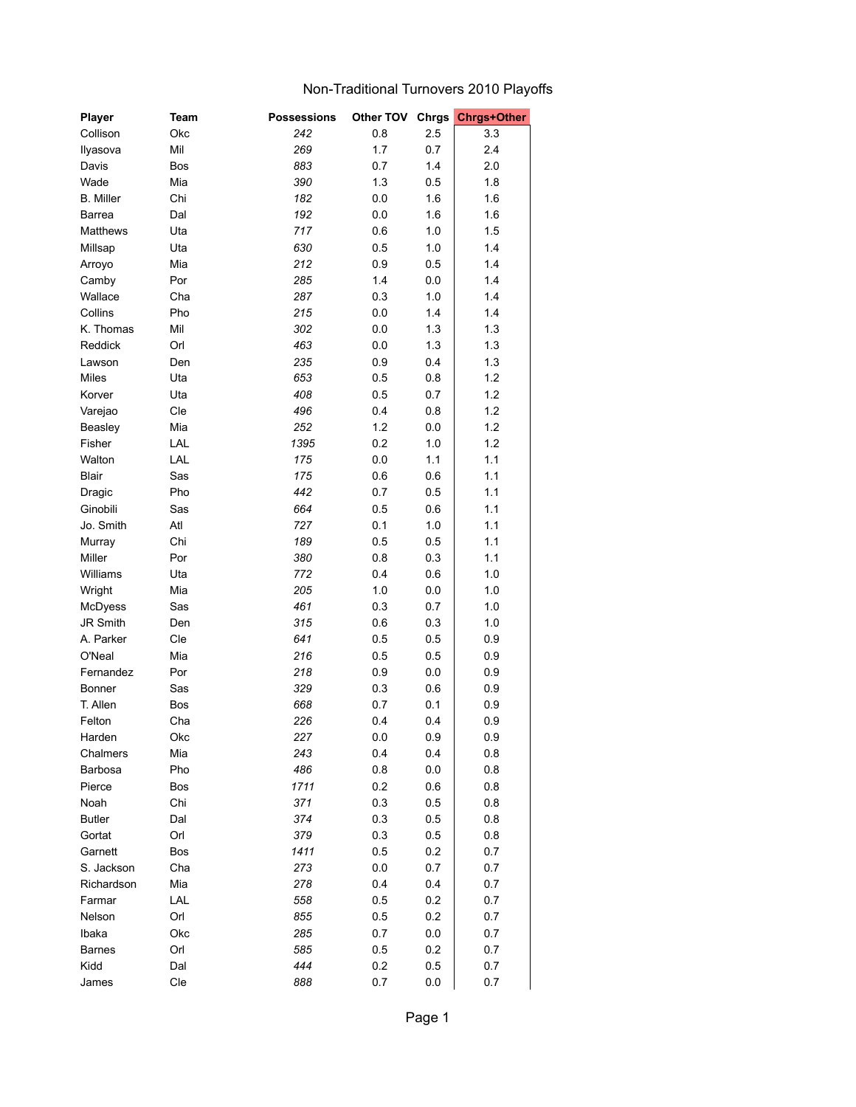## Non-Traditional Turnovers 2010 Playoffs

| Player           | Team | <b>Possessions</b> | Other TOV Chrgs |         | <b>Chrgs+Other</b> |
|------------------|------|--------------------|-----------------|---------|--------------------|
| Collison         | Okc  | 242                | 0.8             | 2.5     | 3.3                |
| Ilyasova         | Mil  | 269                | 1.7             | 0.7     | 2.4                |
| Davis            | Bos  | 883                | 0.7             | 1.4     | 2.0                |
| Wade             | Mia  | 390                | 1.3             | 0.5     | 1.8                |
| <b>B.</b> Miller | Chi  | 182                | 0.0             | 1.6     | 1.6                |
| Barrea           | Dal  | 192                | 0.0             | 1.6     | 1.6                |
| Matthews         | Uta  | 717                | 0.6             | 1.0     | 1.5                |
| Millsap          | Uta  | 630                | 0.5             | 1.0     | 1.4                |
| Arroyo           | Mia  | 212                | 0.9             | 0.5     | 1.4                |
| Camby            | Por  | 285                | 1.4             | 0.0     | 1.4                |
| Wallace          | Cha  | 287                | 0.3             | 1.0     | 1.4                |
| Collins          | Pho  | 215                | 0.0             | 1.4     | 1.4                |
| K. Thomas        | Mil  | 302                | 0.0             | 1.3     | 1.3                |
| Reddick          | Orl  | 463                | 0.0             | 1.3     | 1.3                |
| Lawson           | Den  | 235                | 0.9             | 0.4     | 1.3                |
| Miles            | Uta  | 653                | 0.5             | 0.8     | 1.2                |
| Korver           | Uta  | 408                | 0.5             | 0.7     | 1.2                |
| Varejao          | Cle  | 496                | 0.4             | 0.8     | 1.2                |
| Beasley          | Mia  | 252                | 1.2             | 0.0     | 1.2                |
| Fisher           | LAL  | 1395               | 0.2             | 1.0     | 1.2                |
| Walton           | LAL  | 175                | 0.0             | 1.1     | 1.1                |
| Blair            | Sas  | 175                | 0.6             | 0.6     | 1.1                |
|                  | Pho  | 442                |                 |         |                    |
| Dragic           |      |                    | 0.7             | 0.5     | 1.1                |
| Ginobili         | Sas  | 664                | 0.5             | 0.6     | 1.1                |
| Jo. Smith        | Atl  | 727                | 0.1             | 1.0     | 1.1                |
| Murray           | Chi  | 189                | 0.5             | 0.5     | 1.1                |
| Miller           | Por  | 380                | 0.8             | 0.3     | 1.1                |
| Williams         | Uta  | 772                | 0.4             | 0.6     | 1.0                |
| Wright           | Mia  | 205                | 1.0             | 0.0     | 1.0                |
| McDyess          | Sas  | 461                | 0.3             | 0.7     | 1.0                |
| JR Smith         | Den  | 315                | 0.6             | 0.3     | 1.0                |
| A. Parker        | Cle  | 641                | 0.5             | 0.5     | 0.9                |
| O'Neal           | Mia  | 216                | 0.5             | 0.5     | 0.9                |
| Fernandez        | Por  | 218                | 0.9             | 0.0     | 0.9                |
| <b>Bonner</b>    | Sas  | 329                | 0.3             | 0.6     | 0.9                |
| T. Allen         | Bos  | 668                | 0.7             | 0.1     | 0.9                |
| Felton           | Cha  | 226                | 0.4             | 0.4     | 0.9                |
| Harden           | Okc  | 227                | $0.0\,$         | $0.9\,$ | 0.9                |
| Chalmers         | Mia  | 243                | 0.4             | 0.4     | 0.8                |
| Barbosa          | Pho  | 486                | 0.8             | 0.0     | 0.8                |
| Pierce           | Bos  | 1711               | 0.2             | 0.6     | 0.8                |
| Noah             | Chi  | 371                | 0.3             | 0.5     | 0.8                |
| <b>Butler</b>    | Dal  | 374                | 0.3             | 0.5     | 0.8                |
| Gortat           | Orl  | 379                | 0.3             | 0.5     | 0.8                |
| Garnett          | Bos  | 1411               | 0.5             | 0.2     | 0.7                |
| S. Jackson       | Cha  | 273                | 0.0             | 0.7     | 0.7                |
| Richardson       | Mia  | 278                | 0.4             | 0.4     | 0.7                |
| Farmar           | LAL  | 558                | 0.5             | 0.2     | 0.7                |
| Nelson           | Orl  | 855                | 0.5             | 0.2     | 0.7                |
| Ibaka            | Okc  | 285                | 0.7             | $0.0\,$ | 0.7                |
| <b>Barnes</b>    | Orl  | 585                | 0.5             | 0.2     | 0.7                |
| Kidd             | Dal  | 444                | 0.2             | 0.5     | 0.7                |
| James            | Cle  | 888                | 0.7             | 0.0     | 0.7                |
|                  |      |                    |                 |         |                    |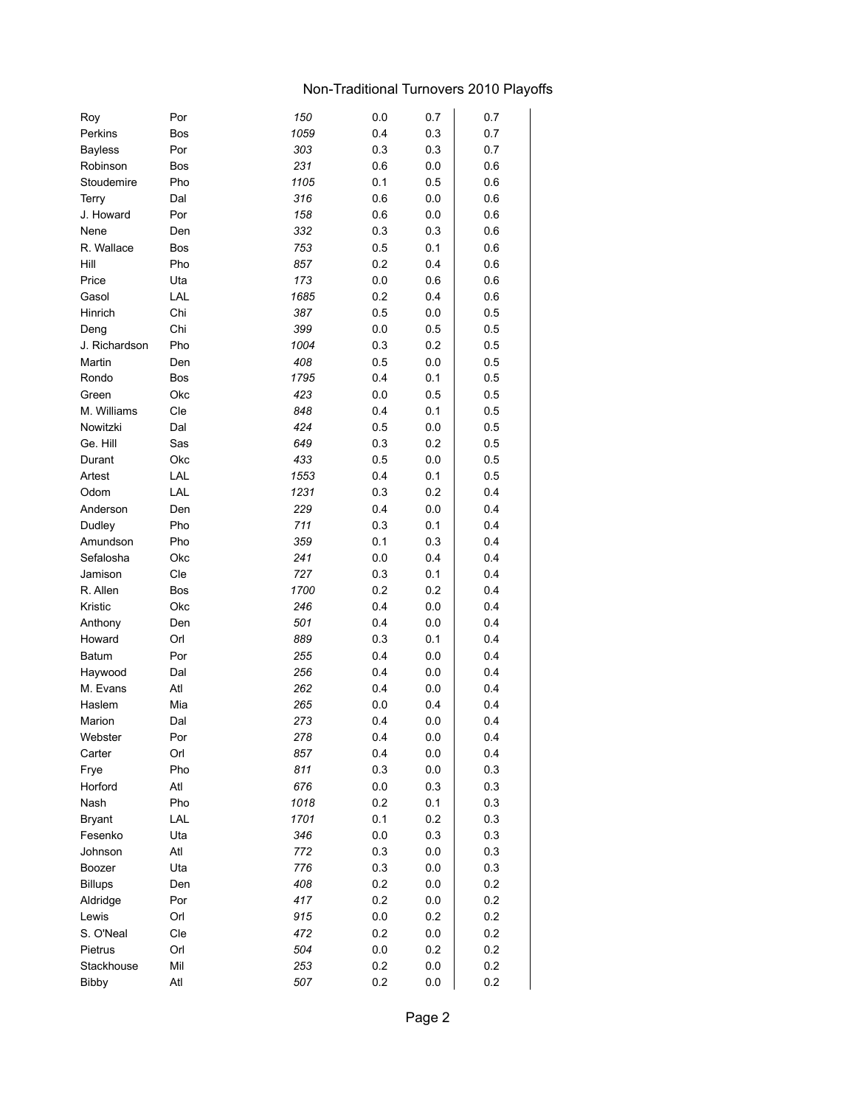## Non-Traditional Turnovers 2010 Playoffs

| Roy            | Por        | 150  | 0.0 | 0.7     | 0.7 |
|----------------|------------|------|-----|---------|-----|
| Perkins        | Bos        | 1059 | 0.4 | 0.3     | 0.7 |
| <b>Bayless</b> | Por        | 303  | 0.3 | 0.3     | 0.7 |
| Robinson       | <b>Bos</b> | 231  | 0.6 | 0.0     | 0.6 |
| Stoudemire     | Pho        | 1105 | 0.1 | 0.5     | 0.6 |
| Terry          | Dal        | 316  | 0.6 | 0.0     | 0.6 |
| J. Howard      | Por        | 158  | 0.6 | 0.0     | 0.6 |
| Nene           | Den        | 332  | 0.3 | 0.3     | 0.6 |
| R. Wallace     | Bos        | 753  | 0.5 | 0.1     | 0.6 |
| Hill           | Pho        | 857  | 0.2 | 0.4     | 0.6 |
| Price          | Uta        | 173  | 0.0 | 0.6     | 0.6 |
| Gasol          | LAL        | 1685 | 0.2 | 0.4     | 0.6 |
| Hinrich        | Chi        | 387  | 0.5 | 0.0     | 0.5 |
| Deng           | Chi        | 399  | 0.0 | 0.5     | 0.5 |
| J. Richardson  | Pho        | 1004 | 0.3 | 0.2     | 0.5 |
| Martin         | Den        | 408  | 0.5 | 0.0     | 0.5 |
| Rondo          | <b>Bos</b> | 1795 | 0.4 | 0.1     | 0.5 |
| Green          | Okc        | 423  | 0.0 | 0.5     | 0.5 |
| M. Williams    | Cle        | 848  | 0.4 | 0.1     | 0.5 |
| Nowitzki       | Dal        | 424  | 0.5 | 0.0     | 0.5 |
| Ge. Hill       | Sas        | 649  | 0.3 | 0.2     | 0.5 |
| Durant         | Okc        | 433  | 0.5 | 0.0     | 0.5 |
| Artest         | LAL        | 1553 | 0.4 | 0.1     | 0.5 |
| Odom           | LAL        | 1231 | 0.3 | 0.2     | 0.4 |
| Anderson       | Den        | 229  | 0.4 | 0.0     | 0.4 |
| Dudley         | Pho        | 711  | 0.3 | 0.1     | 0.4 |
| Amundson       | Pho        | 359  | 0.1 | 0.3     | 0.4 |
| Sefalosha      | Okc        | 241  | 0.0 | 0.4     | 0.4 |
| Jamison        | Cle        | 727  | 0.3 | 0.1     | 0.4 |
| R. Allen       | Bos        | 1700 | 0.2 | 0.2     | 0.4 |
| Kristic        | Okc        | 246  | 0.4 | 0.0     | 0.4 |
| Anthony        | Den        | 501  | 0.4 | 0.0     | 0.4 |
| Howard         | Orl        | 889  | 0.3 | 0.1     | 0.4 |
| Batum          | Por        | 255  | 0.4 | 0.0     | 0.4 |
| Haywood        | Dal        | 256  | 0.4 | 0.0     | 0.4 |
| M. Evans       | Atl        | 262  | 0.4 | 0.0     | 0.4 |
| Haslem         | Mia        | 265  | 0.0 | 0.4     | 0.4 |
| Marion         | Dal        | 273  | 0.4 | 0.0     | 0.4 |
| Webster        | Por        | 278  | 0.4 | 0.0     | 0.4 |
| Carter         | Orl        | 857  | 0.4 | 0.0     | 0.4 |
| Frye           | Pho        | 811  | 0.3 | 0.0     | 0.3 |
| Horford        | Atl        | 676  | 0.0 | 0.3     | 0.3 |
| Nash           | Pho        | 1018 | 0.2 | 0.1     | 0.3 |
| <b>Bryant</b>  | LAL        | 1701 | 0.1 | 0.2     | 0.3 |
| Fesenko        | Uta        | 346  | 0.0 | 0.3     | 0.3 |
| Johnson        | Atl        | 772  | 0.3 | 0.0     | 0.3 |
|                |            | 776  |     |         |     |
| Boozer         | Uta        |      | 0.3 | 0.0     | 0.3 |
| <b>Billups</b> | Den        | 408  | 0.2 | 0.0     | 0.2 |
| Aldridge       | Por        | 417  | 0.2 | 0.0     | 0.2 |
| Lewis          | Orl        | 915  | 0.0 | 0.2     | 0.2 |
| S. O'Neal      | Cle        | 472  | 0.2 | $0.0\,$ | 0.2 |
| Pietrus        | Orl        | 504  | 0.0 | 0.2     | 0.2 |
| Stackhouse     | Mil        | 253  | 0.2 | 0.0     | 0.2 |
| <b>Bibby</b>   | Atl        | 507  | 0.2 | 0.0     | 0.2 |